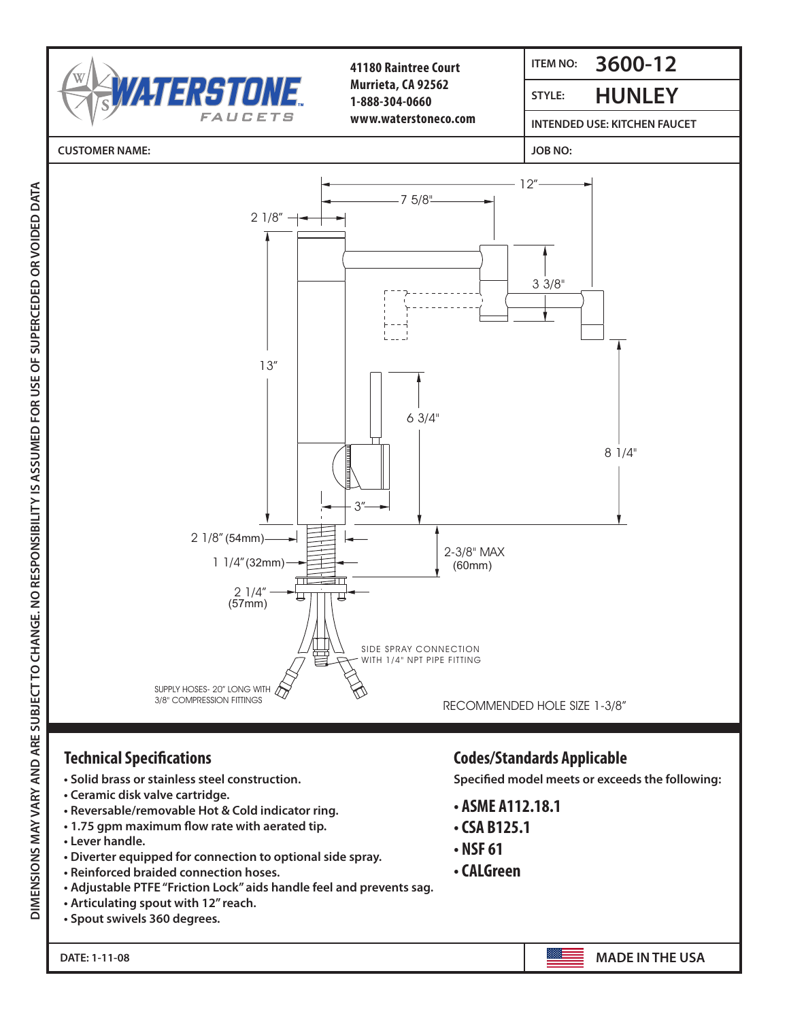

## Technical Specifications: iecnnical Specifications

- Colid brace or stain loss store • Solid brass or stainless steel construction.
- Ceramic disk valve cartridge.
- **Reversable/removable Hot & Cold indicator ring.**
- 1.75 gpm maximum flow rate with aerated tip.
- Lever handle.

 $\overline{\phantom{a}}$ 

**DIMENSIONS MAY VARY AND ARE SUBJECT TO CHANGE. NO RESPONSIBILITY IS ASSUMED FOR USE OF SUPERCEDED OR VOIDED DATA**

- adiustable Teflon<br>Discutes continued for competition to cutto **• Diverter equipped for connection to optional side spray.**
- **Reinforced braided connection hoses.**
- Adjustable PTFE "Friction Lock" aids handle feel and prevents sag.
- **Articulating spout with 12" reach.**
- **Spout swivels 360 degrees.**

## Codes/Standards Applicable Specified model meets or exceeds the following: **Technical Specifications Codes/Standards Applicable**

 ASME A112.18.1 **Specified model meets or exceeds the following:**

- CSA B125.1  **ASME A112.18.1**
- CSA B125.1
- **NSF 61**

DATE: 1-11-08 *Made in the U.S.A.*

**• CALGreen**